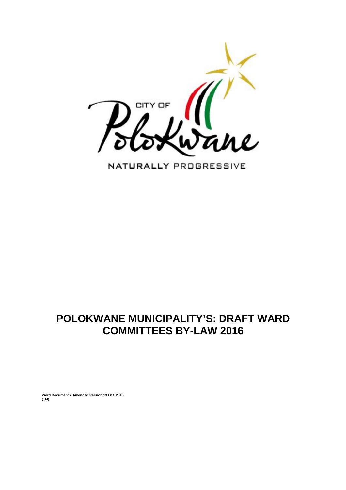

NATURALLY PROGRESSIVE

# **POLOKWANE MUNICIPALITY'S: DRAFT WARD COMMITTEES BY-LAW 2016**

**Word Document 2 Amended Version 13 Oct. 2016 (TM)**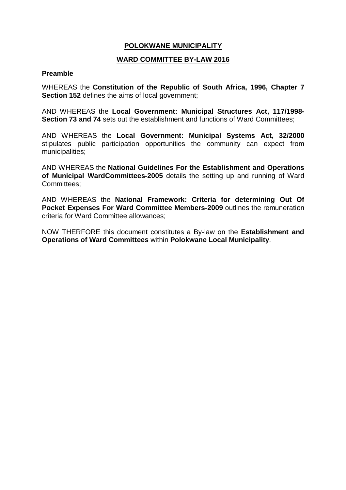# **POLOKWANE MUNICIPALITY**

## **WARD COMMITTEE BY-LAW 2016**

#### **Preamble**

WHEREAS the **Constitution of the Republic of South Africa, 1996, Chapter 7 Section 152** defines the aims of local government;

AND WHEREAS the **Local Government: Municipal Structures Act, 117/1998- Section 73 and 74** sets out the establishment and functions of Ward Committees;

AND WHEREAS the **Local Government: Municipal Systems Act, 32/2000**  stipulates public participation opportunities the community can expect from municipalities;

AND WHEREAS the **National Guidelines For the Establishment and Operations of Municipal WardCommittees-2005** details the setting up and running of Ward Committees;

AND WHEREAS the **National Framework: Criteria for determining Out Of Pocket Expenses For Ward Committee Members-2009** outlines the remuneration criteria for Ward Committee allowances;

NOW THERFORE this document constitutes a By-law on the **Establishment and Operations of Ward Committees** within **Polokwane Local Municipality**.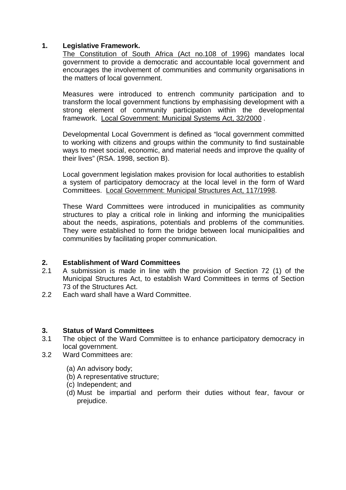## **1. Legislative Framework.**

The Constitution of South Africa (Act no.108 of 1996) mandates local government to provide a democratic and accountable local government and encourages the involvement of communities and community organisations in the matters of local government.

Measures were introduced to entrench community participation and to transform the local government functions by emphasising development with a strong element of community participation within the developmental framework. Local Government: Municipal Systems Act, 32/2000 .

Developmental Local Government is defined as "local government committed to working with citizens and groups within the community to find sustainable ways to meet social, economic, and material needs and improve the quality of their lives" (RSA. 1998, section B).

Local government legislation makes provision for local authorities to establish a system of participatory democracy at the local level in the form of Ward Committees. Local Government: Municipal Structures Act, 117/1998.

These Ward Committees were introduced in municipalities as community structures to play a critical role in linking and informing the municipalities about the needs, aspirations, potentials and problems of the communities. They were established to form the bridge between local municipalities and communities by facilitating proper communication.

#### **2. Establishment of Ward Committees**

- 2.1 A submission is made in line with the provision of Section 72 (1) of the Municipal Structures Act, to establish Ward Committees in terms of Section 73 of the Structures Act.
- 2.2 Each ward shall have a Ward Committee.

#### **3. Status of Ward Committees**

- 3.1 The object of the Ward Committee is to enhance participatory democracy in local government.
- 3.2 Ward Committees are:
	- (a) An advisory body;
	- (b) A representative structure;
	- (c) Independent; and
	- (d) Must be impartial and perform their duties without fear, favour or prejudice.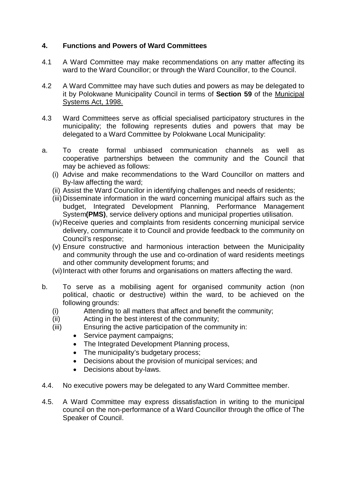# **4. Functions and Powers of Ward Committees**

- 4.1 A Ward Committee may make recommendations on any matter affecting its ward to the Ward Councillor; or through the Ward Councillor, to the Council.
- 4.2 A Ward Committee may have such duties and powers as may be delegated to it by Polokwane Municipality Council in terms of **Section 59** of the Municipal Systems Act, 1998.
- 4.3 Ward Committees serve as official specialised participatory structures in the municipality; the following represents duties and powers that may be delegated to a Ward Committee by Polokwane Local Municipality:
- a. To create formal unbiased communication channels as well as cooperative partnerships between the community and the Council that may be achieved as follows:
	- (i) Advise and make recommendations to the Ward Councillor on matters and By-law affecting the ward;
	- (ii) Assist the Ward Councillor in identifying challenges and needs of residents;
	- (iii) Disseminate information in the ward concerning municipal affairs such as the budget, Integrated Development Planning, Performance Management System**(PMS)**, service delivery options and municipal properties utilisation.
	- (iv)Receive queries and complaints from residents concerning municipal service delivery, communicate it to Council and provide feedback to the community on Council's response;
	- (v) Ensure constructive and harmonious interaction between the Municipality and community through the use and co-ordination of ward residents meetings and other community development forums; and
	- (vi) Interact with other forums and organisations on matters affecting the ward.
- b. To serve as a mobilising agent for organised community action (non political, chaotic or destructive) within the ward, to be achieved on the following grounds:
	- (i) Attending to all matters that affect and benefit the community;
	- (ii) Acting in the best interest of the community;
	- (iii) Ensuring the active participation of the community in:
		- Service payment campaigns:
		- The Integrated Development Planning process,
		- The municipality's budgetary process:
		- Decisions about the provision of municipal services; and
		- Decisions about by-laws.
- 4.4. No executive powers may be delegated to any Ward Committee member.
- 4.5. A Ward Committee may express dissatisfaction in writing to the municipal council on the non-performance of a Ward Councillor through the office of The Speaker of Council.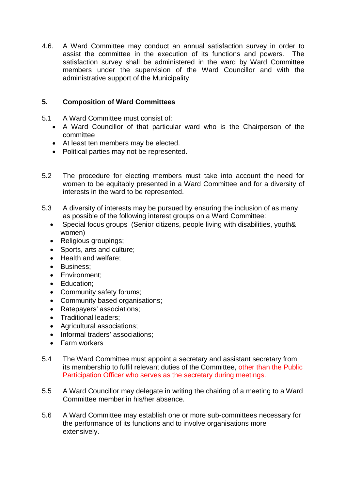4.6. A Ward Committee may conduct an annual satisfaction survey in order to assist the committee in the execution of its functions and powers. The satisfaction survey shall be administered in the ward by Ward Committee members under the supervision of the Ward Councillor and with the administrative support of the Municipality.

# **5. Composition of Ward Committees**

- 5.1 A Ward Committee must consist of:
	- A Ward Councillor of that particular ward who is the Chairperson of the committee
	- At least ten members may be elected.
	- Political parties may not be represented.
- 5.2 The procedure for electing members must take into account the need for women to be equitably presented in a Ward Committee and for a diversity of interests in the ward to be represented.
- 5.3 A diversity of interests may be pursued by ensuring the inclusion of as many as possible of the following interest groups on a Ward Committee:
	- Special focus groups (Senior citizens, people living with disabilities, youth& women)
	- Religious groupings;
	- Sports, arts and culture;
	- Health and welfare:
	- **Business**;
	- Environment;
	- Education:
	- Community safety forums;
	- Community based organisations;
	- Ratepayers' associations:
	- Traditional leaders;
	- Agricultural associations;
	- Informal traders' associations:
	- Farm workers
- 5.4 The Ward Committee must appoint a secretary and assistant secretary from its membership to fulfil relevant duties of the Committee, other than the Public Participation Officer who serves as the secretary during meetings.
- 5.5 A Ward Councillor may delegate in writing the chairing of a meeting to a Ward Committee member in his/her absence.
- 5.6 A Ward Committee may establish one or more sub-committees necessary for the performance of its functions and to involve organisations more extensively.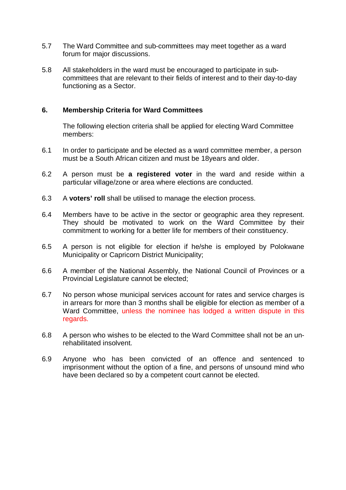- 5.7 The Ward Committee and sub-committees may meet together as a ward forum for major discussions.
- 5.8 All stakeholders in the ward must be encouraged to participate in subcommittees that are relevant to their fields of interest and to their day-to-day functioning as a Sector.

#### **6. Membership Criteria for Ward Committees**

The following election criteria shall be applied for electing Ward Committee members:

- 6.1 In order to participate and be elected as a ward committee member, a person must be a South African citizen and must be 18years and older.
- 6.2 A person must be **a registered voter** in the ward and reside within a particular village/zone or area where elections are conducted.
- 6.3 A **voters' roll** shall be utilised to manage the election process.
- 6.4 Members have to be active in the sector or geographic area they represent. They should be motivated to work on the Ward Committee by their commitment to working for a better life for members of their constituency.
- 6.5 A person is not eligible for election if he/she is employed by Polokwane Municipality or Capricorn District Municipality;
- 6.6 A member of the National Assembly, the National Council of Provinces or a Provincial Legislature cannot be elected;
- 6.7 No person whose municipal services account for rates and service charges is in arrears for more than 3 months shall be eligible for election as member of a Ward Committee, unless the nominee has lodged a written dispute in this regards.
- 6.8 A person who wishes to be elected to the Ward Committee shall not be an unrehabilitated insolvent.
- 6.9 Anyone who has been convicted of an offence and sentenced to imprisonment without the option of a fine, and persons of unsound mind who have been declared so by a competent court cannot be elected.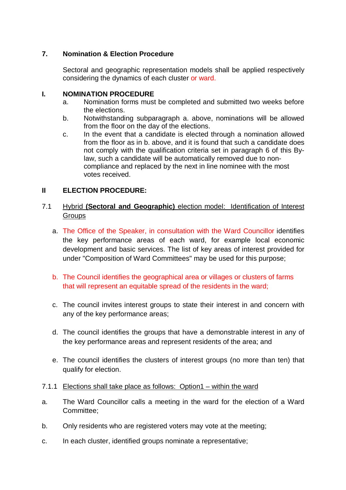# **7. Nomination & Election Procedure**

Sectoral and geographic representation models shall be applied respectively considering the dynamics of each cluster or ward.

#### **I. NOMINATION PROCEDURE**

- a. Nomination forms must be completed and submitted two weeks before the elections.
- b. Notwithstanding subparagraph a. above, nominations will be allowed from the floor on the day of the elections.
- c. In the event that a candidate is elected through a nomination allowed from the floor as in b. above, and it is found that such a candidate does not comply with the qualification criteria set in paragraph 6 of this Bylaw, such a candidate will be automatically removed due to noncompliance and replaced by the next in line nominee with the most votes received.

## **II ELECTION PROCEDURE:**

# 7.1 Hybrid **(Sectoral and Geographic)** election model: Identification of Interest **Groups**

- a. The Office of the Speaker, in consultation with the Ward Councillor identifies the key performance areas of each ward, for example local economic development and basic services. The list of key areas of interest provided for under "Composition of Ward Committees" may be used for this purpose;
- b. The Council identifies the geographical area or villages or clusters of farms that will represent an equitable spread of the residents in the ward;
- c. The council invites interest groups to state their interest in and concern with any of the key performance areas;
- d. The council identifies the groups that have a demonstrable interest in any of the key performance areas and represent residents of the area; and
- e. The council identifies the clusters of interest groups (no more than ten) that qualify for election.
- 7.1.1 Elections shall take place as follows: Option1 within the ward
- a. The Ward Councillor calls a meeting in the ward for the election of a Ward Committee;
- b. Only residents who are registered voters may vote at the meeting;
- c. In each cluster, identified groups nominate a representative;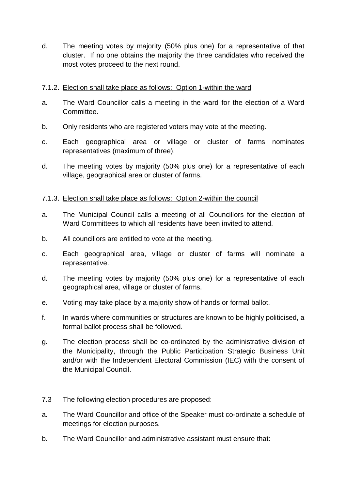d. The meeting votes by majority (50% plus one) for a representative of that cluster. If no one obtains the majority the three candidates who received the most votes proceed to the next round.

## 7.1.2. Election shall take place as follows: Option 1-within the ward

- a. The Ward Councillor calls a meeting in the ward for the election of a Ward Committee.
- b. Only residents who are registered voters may vote at the meeting.
- c. Each geographical area or village or cluster of farms nominates representatives (maximum of three).
- d. The meeting votes by majority (50% plus one) for a representative of each village, geographical area or cluster of farms.

# 7.1.3. Election shall take place as follows: Option 2-within the council

- a. The Municipal Council calls a meeting of all Councillors for the election of Ward Committees to which all residents have been invited to attend.
- b. All councillors are entitled to vote at the meeting.
- c. Each geographical area, village or cluster of farms will nominate a representative.
- d. The meeting votes by majority (50% plus one) for a representative of each geographical area, village or cluster of farms.
- e. Voting may take place by a majority show of hands or formal ballot.
- f. In wards where communities or structures are known to be highly politicised, a formal ballot process shall be followed.
- g. The election process shall be co-ordinated by the administrative division of the Municipality, through the Public Participation Strategic Business Unit and/or with the Independent Electoral Commission (IEC) with the consent of the Municipal Council.
- 7.3 The following election procedures are proposed:
- a. The Ward Councillor and office of the Speaker must co-ordinate a schedule of meetings for election purposes.
- b. The Ward Councillor and administrative assistant must ensure that: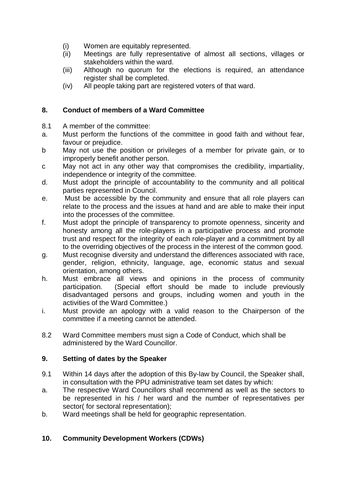- (i) Women are equitably represented.
- (ii) Meetings are fully representative of almost all sections, villages or stakeholders within the ward.
- (iii) Although no quorum for the elections is required, an attendance register shall be completed.
- (iv) All people taking part are registered voters of that ward.

# **8. Conduct of members of a Ward Committee**

- 8.1 A member of the committee:
- a. Must perform the functions of the committee in good faith and without fear, favour or prejudice.
- b May not use the position or privileges of a member for private gain, or to improperly benefit another person.
- c May not act in any other way that compromises the credibility, impartiality, independence or integrity of the committee.
- d. Must adopt the principle of accountability to the community and all political parties represented in Council.
- e. Must be accessible by the community and ensure that all role players can relate to the process and the issues at hand and are able to make their input into the processes of the committee.
- f. Must adopt the principle of transparency to promote openness, sincerity and honesty among all the role-players in a participative process and promote trust and respect for the integrity of each role-player and a commitment by all to the overriding objectives of the process in the interest of the common good.
- g. Must recognise diversity and understand the differences associated with race, gender, religion, ethnicity, language, age, economic status and sexual orientation, among others.
- h. Must embrace all views and opinions in the process of community participation. (Special effort should be made to include previously disadvantaged persons and groups, including women and youth in the activities of the Ward Committee.)
- i. Must provide an apology with a valid reason to the Chairperson of the committee if a meeting cannot be attended.
- 8.2 Ward Committee members must sign a Code of Conduct, which shall be administered by the Ward Councillor.

# **9. Setting of dates by the Speaker**

- 9.1 Within 14 days after the adoption of this By-law by Council, the Speaker shall, in consultation with the PPU administrative team set dates by which:
- a. The respective Ward Councillors shall recommend as well as the sectors to be represented in his / her ward and the number of representatives per sector( for sectoral representation);
- b. Ward meetings shall be held for geographic representation.

# **10. Community Development Workers (CDWs)**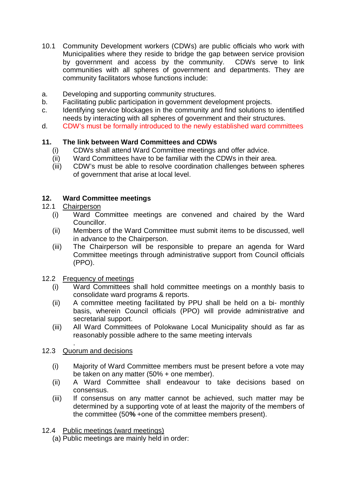- 10.1 Community Development workers (CDWs) are public officials who work with Municipalities where they reside to bridge the gap between service provision by government and access by the community. CDWs serve to link communities with all spheres of government and departments. They are community facilitators whose functions include:
- a. Developing and supporting community structures.
- b. Facilitating public participation in government development projects.
- c. Identifying service blockages in the community and find solutions to identified needs by interacting with all spheres of government and their structures.
- d. CDW's must be formally introduced to the newly established ward committees

## **11. The link between Ward Committees and CDWs**

- (i) CDWs shall attend Ward Committee meetings and offer advice.
- (ii) Ward Committees have to be familiar with the CDWs in their area.
- (iii) CDW's must be able to resolve coordination challenges between spheres of government that arise at local level.

## **12. Ward Committee meetings**

## 12.1 Chairperson

- (i) Ward Committee meetings are convened and chaired by the Ward Councillor.
- (ii) Members of the Ward Committee must submit items to be discussed, well in advance to the Chairperson.
- (iii) The Chairperson will be responsible to prepare an agenda for Ward Committee meetings through administrative support from Council officials (PPO).
- 12.2 Frequency of meetings
	- (i) Ward Committees shall hold committee meetings on a monthly basis to consolidate ward programs & reports.
	- (ii) A committee meeting facilitated by PPU shall be held on a bi- monthly basis, wherein Council officials (PPO) will provide administrative and secretarial support.
	- (iii) All Ward Committees of Polokwane Local Municipality should as far as reasonably possible adhere to the same meeting intervals

#### . 12.3 Quorum and decisions

- (i) Majority of Ward Committee members must be present before a vote may be taken on any matter (50% + one member).
- (ii) A Ward Committee shall endeavour to take decisions based on consensus.
- (iii) If consensus on any matter cannot be achieved, such matter may be determined by a supporting vote of at least the majority of the members of the committee (50**%** +one of the committee members present).
- 12.4 Public meetings (ward meetings)
	- (a) Public meetings are mainly held in order: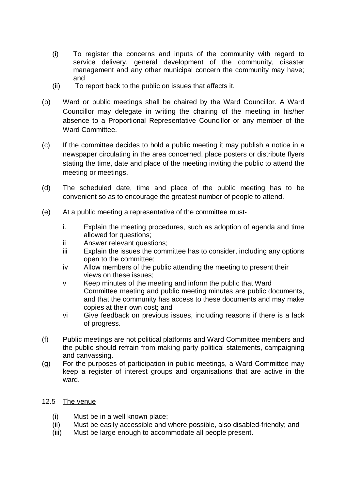- (i) To register the concerns and inputs of the community with regard to service delivery, general development of the community, disaster management and any other municipal concern the community may have; and
- (ii) To report back to the public on issues that affects it.
- (b) Ward or public meetings shall be chaired by the Ward Councillor. A Ward Councillor may delegate in writing the chairing of the meeting in his/her absence to a Proportional Representative Councillor or any member of the Ward Committee.
- (c) If the committee decides to hold a public meeting it may publish a notice in a newspaper circulating in the area concerned, place posters or distribute flyers stating the time, date and place of the meeting inviting the public to attend the meeting or meetings.
- (d) The scheduled date, time and place of the public meeting has to be convenient so as to encourage the greatest number of people to attend.
- (e) At a public meeting a representative of the committee must
	- i. Explain the meeting procedures, such as adoption of agenda and time allowed for questions;
	- ii Answer relevant questions;
	- iii Explain the issues the committee has to consider, including any options open to the committee;
	- iv Allow members of the public attending the meeting to present their views on these issues;
	- v Keep minutes of the meeting and inform the public that Ward Committee meeting and public meeting minutes are public documents, and that the community has access to these documents and may make copies at their own cost; and
	- vi Give feedback on previous issues, including reasons if there is a lack of progress.
- (f) Public meetings are not political platforms and Ward Committee members and the public should refrain from making party political statements, campaigning and canvassing.
- (g) For the purposes of participation in public meetings, a Ward Committee may keep a register of interest groups and organisations that are active in the ward.

# 12.5 The venue

- (i) Must be in a well known place;
- (ii) Must be easily accessible and where possible, also disabled-friendly; and
- (iii) Must be large enough to accommodate all people present.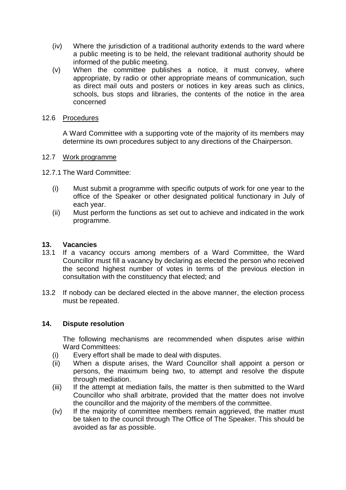- (iv) Where the jurisdiction of a traditional authority extends to the ward where a public meeting is to be held, the relevant traditional authority should be informed of the public meeting.
- (v) When the committee publishes a notice, it must convey, where appropriate, by radio or other appropriate means of communication, such as direct mail outs and posters or notices in key areas such as clinics, schools, bus stops and libraries, the contents of the notice in the area concerned

#### 12.6 Procedures

A Ward Committee with a supporting vote of the majority of its members may determine its own procedures subject to any directions of the Chairperson.

#### 12.7 Work programme

12.7.1 The Ward Committee:

- (i) Must submit a programme with specific outputs of work for one year to the office of the Speaker or other designated political functionary in July of each year.
- (ii) Must perform the functions as set out to achieve and indicated in the work programme.

#### **13. Vacancies**

- 13.1 If a vacancy occurs among members of a Ward Committee, the Ward Councillor must fill a vacancy by declaring as elected the person who received the second highest number of votes in terms of the previous election in consultation with the constituency that elected; and
- 13.2 If nobody can be declared elected in the above manner, the election process must be repeated.

#### **14. Dispute resolution**

The following mechanisms are recommended when disputes arise within Ward Committees:

- (i) Every effort shall be made to deal with disputes.
- (ii) When a dispute arises, the Ward Councillor shall appoint a person or persons, the maximum being two, to attempt and resolve the dispute through mediation.
- (iii) If the attempt at mediation fails, the matter is then submitted to the Ward Councillor who shall arbitrate, provided that the matter does not involve the councillor and the majority of the members of the committee.
- (iv) If the majority of committee members remain aggrieved, the matter must be taken to the council through The Office of The Speaker. This should be avoided as far as possible.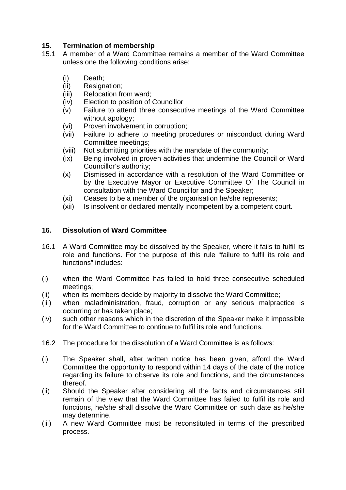# **15. Termination of membership**

- 15.1 A member of a Ward Committee remains a member of the Ward Committee unless one the following conditions arise:
	- (i) Death;
	- (ii) Resignation;
	- (iii) Relocation from ward;
	- (iv) Election to position of Councillor
	- (v) Failure to attend three consecutive meetings of the Ward Committee without apology;
	- (vi) Proven involvement in corruption;
	- (vii) Failure to adhere to meeting procedures or misconduct during Ward Committee meetings;
	- (viii) Not submitting priorities with the mandate of the community;
	- (ix) Being involved in proven activities that undermine the Council or Ward Councillor's authority;
	- (x) Dismissed in accordance with a resolution of the Ward Committee or by the Executive Mayor or Executive Committee Of The Council in consultation with the Ward Councillor and the Speaker;
	- (xi) Ceases to be a member of the organisation he/she represents;
	- (xii) Is insolvent or declared mentally incompetent by a competent court.

# **16. Dissolution of Ward Committee**

- 16.1 A Ward Committee may be dissolved by the Speaker, where it fails to fulfil its role and functions. For the purpose of this rule "failure to fulfil its role and functions" includes:
- (i) when the Ward Committee has failed to hold three consecutive scheduled meetings;
- (ii) when its members decide by majority to dissolve the Ward Committee;
- (iii) when maladministration, fraud, corruption or any serious malpractice is occurring or has taken place;
- (iv) such other reasons which in the discretion of the Speaker make it impossible for the Ward Committee to continue to fulfil its role and functions.
- 16.2 The procedure for the dissolution of a Ward Committee is as follows:
- (i) The Speaker shall, after written notice has been given, afford the Ward Committee the opportunity to respond within 14 days of the date of the notice regarding its failure to observe its role and functions, and the circumstances thereof.
- (ii) Should the Speaker after considering all the facts and circumstances still remain of the view that the Ward Committee has failed to fulfil its role and functions, he/she shall dissolve the Ward Committee on such date as he/she may determine.
- (iii) A new Ward Committee must be reconstituted in terms of the prescribed process.